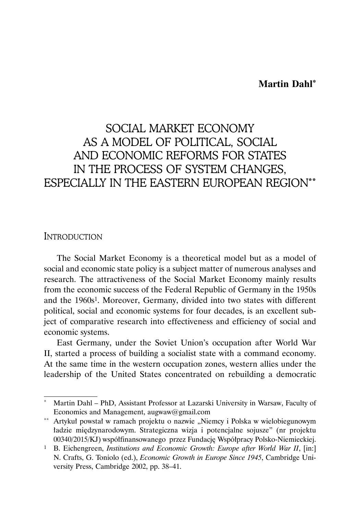## **Martin Dahl\***

# SOCIAL MARKET ECONOMY AS A MODEL OF POLITICAL, SOCIAL AND ECONOMIC REFORMS FOR STATES IN THE PROCESS OF SYSTEM CHANGES, ESPECIALLY IN THE EASTERN EUROPEAN REGION\*\*

#### **INTRODUCTION**

The Social Market Economy is a theoretical model but as a model of social and economic state policy is a subject matter of numerous analyses and research. The attractiveness of the Social Market Economy mainly results from the economic success of the Federal Republic of Germany in the 1950s and the 1960s1. Moreover, Germany, divided into two states with different political, social and economic systems for four decades, is an excellent subject of comparative research into effectiveness and efficiency of social and economic systems.

East Germany, under the Soviet Union's occupation after World War II, started a process of building a socialist state with a command economy. At the same time in the western occupation zones, western allies under the leadership of the United States concentrated on rebuilding a democratic

Martin Dahl – PhD, Assistant Professor at Lazarski University in Warsaw, Faculty of Economics and Management, augwaw@gmail.com

<sup>\*\*</sup> Artykuł powstał w ramach projektu o nazwie "Niemcy i Polska w wielobiegunowym ładzie międzynarodowym. Strategiczna wizja i potencjalne sojusze" (nr projektu 00340/2015/KJ) współfinansowanego przez Fundację Współpracy Polsko-Niemieckiej.

<sup>&</sup>lt;sup>1</sup> B. Eichengreen, *Institutions and Economic Growth: Europe after World War II*, [in:] N. Crafts, G. Toniolo (ed.), *Economic Growth in Europe Since 1945*, Cambridge University Press, Cambridge 2002, pp. 38–41.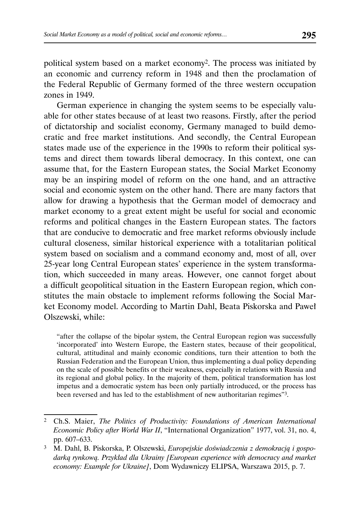political system based on a market economy2. The process was initiated by an economic and currency reform in 1948 and then the proclamation of the Federal Republic of Germany formed of the three western occupation zones in 1949.

German experience in changing the system seems to be especially valuable for other states because of at least two reasons. Firstly, after the period of dictatorship and socialist economy, Germany managed to build democratic and free market institutions. And secondly, the Central European states made use of the experience in the 1990s to reform their political systems and direct them towards liberal democracy. In this context, one can assume that, for the Eastern European states, the Social Market Economy may be an inspiring model of reform on the one hand, and an attractive social and economic system on the other hand. There are many factors that allow for drawing a hypothesis that the German model of democracy and market economy to a great extent might be useful for social and economic reforms and political changes in the Eastern European states. The factors that are conducive to democratic and free market reforms obviously include cultural closeness, similar historical experience with a totalitarian political system based on socialism and a command economy and, most of all, over 25-year long Central European states' experience in the system transformation, which succeeded in many areas. However, one cannot forget about a difficult geopolitical situation in the Eastern European region, which constitutes the main obstacle to implement reforms following the Social Market Economy model. According to Martin Dahl, Beata Piskorska and Paweł Olszewski, while:

"after the collapse of the bipolar system, the Central European region was successfully 'incorporated' into Western Europe, the Eastern states, because of their geopolitical, cultural, attitudinal and mainly economic conditions, turn their attention to both the Russian Federation and the European Union, thus implementing a dual policy depending on the scale of possible benefits or their weakness, especially in relations with Russia and its regional and global policy. In the majority of them, political transformation has lost impetus and a democratic system has been only partially introduced, or the process has been reversed and has led to the establishment of new authoritarian regimes<sup>"3</sup>.

<sup>2</sup> Ch.S. Maier, *The Politics of Productivity: Foundations of American International Economic Policy after World War II*, "International Organization" 1977, vol. 31, no. 4, pp. 607–633.

<sup>3</sup> M. Dahl, B. Piskorska, P. Olszewski, *Europejskie doświadczenia z demokracją i gospodarką rynkową. Przykład dla Ukrainy [European experience with democracy and market economy: Example for Ukraine]*, Dom Wydawniczy ELIPSA, Warszawa 2015, p. 7.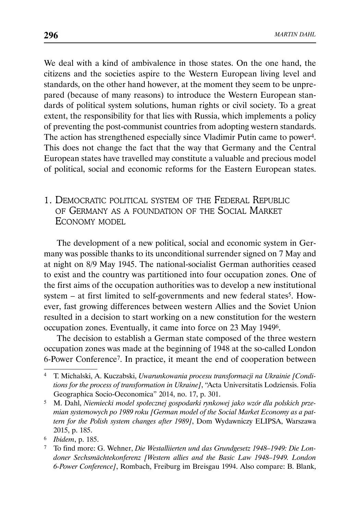We deal with a kind of ambivalence in those states. On the one hand, the citizens and the societies aspire to the Western European living level and standards, on the other hand however, at the moment they seem to be unprepared (because of many reasons) to introduce the Western European standards of political system solutions, human rights or civil society. To a great extent, the responsibility for that lies with Russia, which implements a policy of preventing the post-communist countries from adopting western standards. The action has strengthened especially since Vladimir Putin came to power4. This does not change the fact that the way that Germany and the Central European states have travelled may constitute a valuable and precious model of political, social and economic reforms for the Eastern European states.

# 1. DEMOCRATIC POLITICAL SYSTEM OF THE FEDERAL REPUBLIC OF GERMANY AS A FOUNDATION OF THE SOCIAL MARKET ECONOMY MODEL

The development of a new political, social and economic system in Germany was possible thanks to its unconditional surrender signed on 7 May and at night on 8/9 May 1945. The national-socialist German authorities ceased to exist and the country was partitioned into four occupation zones. One of the first aims of the occupation authorities was to develop a new institutional system – at first limited to self-governments and new federal states<sup>5</sup>. However, fast growing differences between western Allies and the Soviet Union resulted in a decision to start working on a new constitution for the western occupation zones. Eventually, it came into force on 23 May 19496.

The decision to establish a German state composed of the three western occupation zones was made at the beginning of 1948 at the so-called London 6-Power Conference7. In practice, it meant the end of cooperation between

<sup>4</sup> T. Michalski, A. Kuczabski, *Uwarunkowania procesu transformacji na Ukrainie [Conditions for the process of transformation in Ukraine]*, "Acta Universitatis Lodziensis. Folia Geographica Socio-Oeconomica" 2014, no. 17, p. 301.

<sup>5</sup> M. Dahl, *Niemiecki model społecznej gospodarki rynkowej jako wzór dla polskich przemian systemowych po 1989 roku [German model of the Social Market Economy as a pattern for the Polish system changes after 1989]*, Dom Wydawniczy ELIPSA, Warszawa 2015, p. 185.

<sup>6</sup> *Ibidem*, p. 185.

<sup>7</sup> To find more: G. Wehner, *Die Westalliierten und das Grundgesetz 1948–1949: Die Londoner Sechsmächtekonferenz [Western allies and the Basic Law 1948–1949. London 6-Power Conference]*, Rombach, Freiburg im Breisgau 1994. Also compare: B. Blank,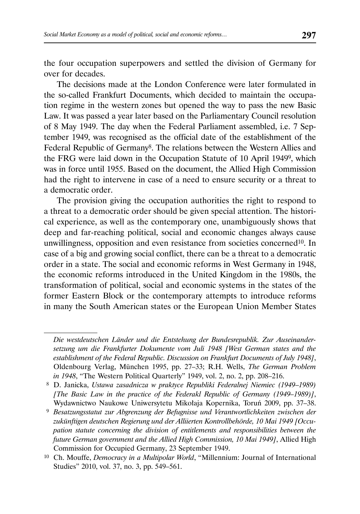the four occupation superpowers and settled the division of Germany for over for decades.

The decisions made at the London Conference were later formulated in the so-called Frankfurt Documents, which decided to maintain the occupation regime in the western zones but opened the way to pass the new Basic Law. It was passed a year later based on the Parliamentary Council resolution of 8 May 1949. The day when the Federal Parliament assembled, i.e. 7 September 1949, was recognised as the official date of the establishment of the Federal Republic of Germany8. The relations between the Western Allies and the FRG were laid down in the Occupation Statute of 10 April 19499, which was in force until 1955. Based on the document, the Allied High Commission had the right to intervene in case of a need to ensure security or a threat to a democratic order.

The provision giving the occupation authorities the right to respond to a threat to a democratic order should be given special attention. The historical experience, as well as the contemporary one, unambiguously shows that deep and far-reaching political, social and economic changes always cause unwillingness, opposition and even resistance from societies concerned10. In case of a big and growing social conflict, there can be a threat to a democratic order in a state. The social and economic reforms in West Germany in 1948, the economic reforms introduced in the United Kingdom in the 1980s, the transformation of political, social and economic systems in the states of the former Eastern Block or the contemporary attempts to introduce reforms in many the South American states or the European Union Member States

*Die westdeutschen Länder und die Entstehung der Bundesrepublik. Zur Auseinandersetzung um die Frankfurter Dokumente vom Juli 1948 [West German states and the establishment of the Federal Republic. Discussion on Frankfurt Documents of July 1948]*, Oldenbourg Verlag, München 1995, pp. 27–33; R.H. Wells, *The German Problem in 1948*, "The Western Political Quarterly" 1949, vol. 2, no. 2, pp. 208–216.

 <sup>8</sup> D. Janicka, *Ustawa zasadnicza w praktyce Republiki Federalnej Niemiec (1949*–*1989) [The Basic Law in the practice of the Federakl Republic of Germany (1949–1989)]*, Wydawnictwo Naukowe Uniwersytetu Mikołaja Kopernika, Toruń 2009, pp. 37–38.

 <sup>9</sup> *Besatzungsstatut zur Abgrenzung der Befugnisse und Verantwortlichkeiten zwischen der zukünftigen deutschen Regierung und der Alliierten Kontrollbehörde, 10 Mai 1949 [Occupation statute concerning the division of entitlements and responsibilities between the future German government and the Allied High Commission, 10 Mai 1949]*, Allied High Commission for Occupied Germany, 23 September 1949.

<sup>10</sup> Ch. Mouffe, *Democracy in a Multipolar World*, "Millennium: Journal of International Studies" 2010, vol. 37, no. 3, pp. 549–561.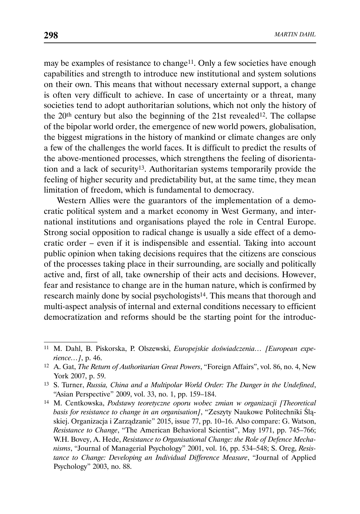may be examples of resistance to change<sup>11</sup>. Only a few societies have enough capabilities and strength to introduce new institutional and system solutions on their own. This means that without necessary external support, a change is often very difficult to achieve. In case of uncertainty or a threat, many societies tend to adopt authoritarian solutions, which not only the history of the  $20<sup>th</sup>$  century but also the beginning of the 21st revealed<sup>12</sup>. The collapse of the bipolar world order, the emergence of new world powers, globalisation, the biggest migrations in the history of mankind or climate changes are only a few of the challenges the world faces. It is difficult to predict the results of the above-mentioned processes, which strengthens the feeling of disorientation and a lack of security13. Authoritarian systems temporarily provide the feeling of higher security and predictability but, at the same time, they mean limitation of freedom, which is fundamental to democracy.

Western Allies were the guarantors of the implementation of a democratic political system and a market economy in West Germany, and international institutions and organisations played the role in Central Europe. Strong social opposition to radical change is usually a side effect of a democratic order – even if it is indispensible and essential. Taking into account public opinion when taking decisions requires that the citizens are conscious of the processes taking place in their surrounding, are socially and politically active and, first of all, take ownership of their acts and decisions. However, fear and resistance to change are in the human nature, which is confirmed by research mainly done by social psychologists<sup>14</sup>. This means that thorough and multi-aspect analysis of internal and external conditions necessary to efficient democratization and reforms should be the starting point for the introduc-

<sup>11</sup> M. Dahl, B. Piskorska, P. Olszewski, *Europejskie doświadczenia… [European experience…]*, p. 46.

<sup>12</sup> A. Gat, *The Return of Authoritarian Great Powers*, "Foreign Affairs", vol. 86, no. 4, New York 2007, p. 59.

<sup>13</sup> S. Turner, *Russia, China and a Multipolar World Order: The Danger in the Undefined*, "Asian Perspective" 2009, vol. 33, no. 1, pp. 159–184.

<sup>14</sup> M. Centkowska, *Podstawy teoretyczne oporu wobec zmian w organizacji [Theoretical basis for resistance to change in an organisation]*, "Zeszyty Naukowe Politechniki Śląskiej. Organizacja i Zarządzanie" 2015, issue 77, pp. 10–16. Also compare: G. Watson, *Resistance to Change*, "The American Behavioral Scientist", May 1971, pp. 745–766; W.H. Bovey, A. Hede, *Resistance to Organisational Change: the Role of Defence Mechanisms*, "Journal of Managerial Psychology" 2001, vol. 16, pp. 534–548; S. Oreg, *Resistance to Change: Developing an Individual Difference Measure*, "Journal of Applied Psychology" 2003, no. 88.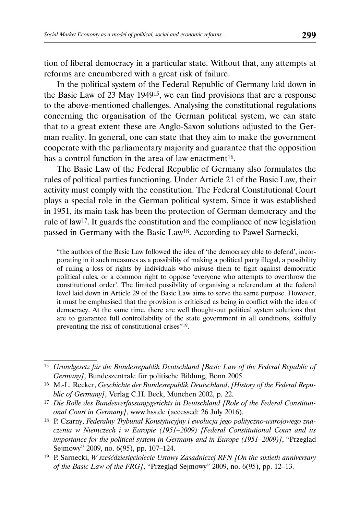tion of liberal democracy in a particular state. Without that, any attempts at reforms are encumbered with a great risk of failure.

In the political system of the Federal Republic of Germany laid down in the Basic Law of 23 May 194915, we can find provisions that are a response to the above-mentioned challenges. Analysing the constitutional regulations concerning the organisation of the German political system, we can state that to a great extent these are Anglo-Saxon solutions adjusted to the German reality. In general, one can state that they aim to make the government cooperate with the parliamentary majority and guarantee that the opposition has a control function in the area of law enactment<sup>16</sup>.

The Basic Law of the Federal Republic of Germany also formulates the rules of political parties functioning. Under Article 21 of the Basic Law, their activity must comply with the constitution. The Federal Constitutional Court plays a special role in the German political system. Since it was established in 1951, its main task has been the protection of German democracy and the rule of law17. It guards the constitution and the compliance of new legislation passed in Germany with the Basic Law18. According to Paweł Sarnecki,

"the authors of the Basic Law followed the idea of 'the democracy able to defend', incorporating in it such measures as a possibility of making a political party illegal, a possibility of ruling a loss of rights by individuals who misuse them to fight against democratic political rules, or a common right to oppose 'everyone who attempts to overthrow the constitutional order'. The limited possibility of organising a referendum at the federal level laid down in Article 29 of the Basic Law aims to serve the same purpose. However, it must be emphasised that the provision is criticised as being in conflict with the idea of democracy. At the same time, there are well thought-out political system solutions that are to guarantee full controllability of the state government in all conditions, skilfully preventing the risk of constitutional crises"19.

<sup>15</sup> *Grundgesetz für die Bundesrepublik Deutschland [Basic Law of the Federal Republic of Germany]*, Bundeszentrale für politische Bildung, Bonn 2005.

<sup>16</sup> M.-L. Recker, *Geschichte der Bundesrepublik Deutschland*, *[History of the Federal Republic of Germany]*, Verlag C.H. Beck, München 2002, p. 22.

<sup>17</sup> *Die Rolle des Bundesverfassungsgerichts in Deutschland [Role of the Federal Constitutional Court in Germany]*, www.hss.de (accessed: 26 July 2016).

<sup>18</sup> P. Czarny, *Federalny Trybunał Konstytucyjny i ewolucja jego polityczno-ustrojowego znaczenia w Niemczech i w Europie (1951–2009) [Federal Constitutional Court and its importance for the political system in Germany and in Europe (1951–2009)]*, "Przegląd Sejmowy" 2009, no. 6(95), pp. 107–124.

<sup>19</sup> P. Sarnecki, *W sześćdziesięciolecie Ustawy Zasadniczej RFN [On the sixtieth anniversary of the Basic Law of the FRG]*, "Przegląd Sejmowy" 2009, no. 6(95), pp. 12–13.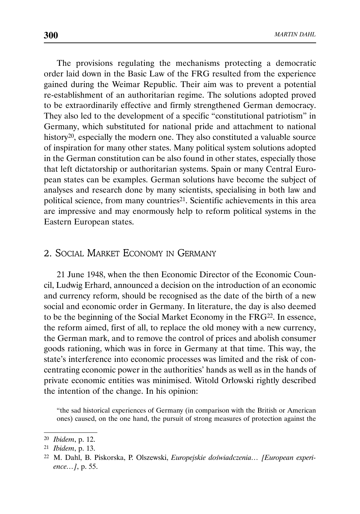The provisions regulating the mechanisms protecting a democratic order laid down in the Basic Law of the FRG resulted from the experience gained during the Weimar Republic. Their aim was to prevent a potential re-establishment of an authoritarian regime. The solutions adopted proved to be extraordinarily effective and firmly strengthened German democracy. They also led to the development of a specific "constitutional patriotism" in Germany, which substituted for national pride and attachment to national history<sup>20</sup>, especially the modern one. They also constituted a valuable source of inspiration for many other states. Many political system solutions adopted in the German constitution can be also found in other states, especially those that left dictatorship or authoritarian systems. Spain or many Central European states can be examples. German solutions have become the subject of analyses and research done by many scientists, specialising in both law and political science, from many countries<sup>21</sup>. Scientific achievements in this area are impressive and may enormously help to reform political systems in the Eastern European states.

## 2. SOCIAL MARKET ECONOMY IN GERMANY

21 June 1948, when the then Economic Director of the Economic Council, Ludwig Erhard, announced a decision on the introduction of an economic and currency reform, should be recognised as the date of the birth of a new social and economic order in Germany. In literature, the day is also deemed to be the beginning of the Social Market Economy in the FRG22. In essence, the reform aimed, first of all, to replace the old money with a new currency, the German mark, and to remove the control of prices and abolish consumer goods rationing, which was in force in Germany at that time. This way, the state's interference into economic processes was limited and the risk of concentrating economic power in the authorities' hands as well as in the hands of private economic entities was minimised. Witold Orłowski rightly described the intention of the change. In his opinion:

"the sad historical experiences of Germany (in comparison with the British or American ones) caused, on the one hand, the pursuit of strong measures of protection against the

<sup>20</sup> *Ibidem*, p. 12.

<sup>21</sup> *Ibidem*, p. 13.

<sup>22</sup> M. Dahl, B. Piskorska, P. Olszewski, *Europejskie doświadczenia… [European experience…]*, p. 55.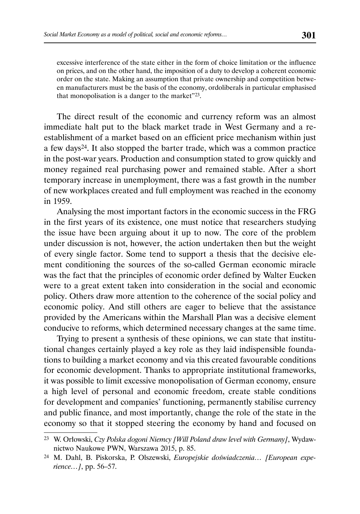excessive interference of the state either in the form of choice limitation or the influence on prices, and on the other hand, the imposition of a duty to develop a coherent economic order on the state. Making an assumption that private ownership and competition between manufacturers must be the basis of the economy, ordoliberals in particular emphasised that monopolisation is a danger to the market"23.

The direct result of the economic and currency reform was an almost immediate halt put to the black market trade in West Germany and a reestablishment of a market based on an efficient price mechanism within just a few days24. It also stopped the barter trade, which was a common practice in the post-war years. Production and consumption stated to grow quickly and money regained real purchasing power and remained stable. After a short temporary increase in unemployment, there was a fast growth in the number of new workplaces created and full employment was reached in the economy in 1959.

Analysing the most important factors in the economic success in the FRG in the first years of its existence, one must notice that researchers studying the issue have been arguing about it up to now. The core of the problem under discussion is not, however, the action undertaken then but the weight of every single factor. Some tend to support a thesis that the decisive element conditioning the sources of the so-called German economic miracle was the fact that the principles of economic order defined by Walter Eucken were to a great extent taken into consideration in the social and economic policy. Others draw more attention to the coherence of the social policy and economic policy. And still others are eager to believe that the assistance provided by the Americans within the Marshall Plan was a decisive element conducive to reforms, which determined necessary changes at the same time.

Trying to present a synthesis of these opinions, we can state that institutional changes certainly played a key role as they laid indispensible foundations to building a market economy and via this created favourable conditions for economic development. Thanks to appropriate institutional frameworks, it was possible to limit excessive monopolisation of German economy, ensure a high level of personal and economic freedom, create stable conditions for development and companies' functioning, permanently stabilise currency and public finance, and most importantly, change the role of the state in the economy so that it stopped steering the economy by hand and focused on

<sup>23</sup> W. Orłowski, *Czy Polska dogoni Niemcy [Will Poland draw level with Germany]*, Wydawnictwo Naukowe PWN, Warszawa 2015, p. 85.

<sup>24</sup> M. Dahl, B. Piskorska, P. Olszewski, *Europejskie doświadczenia… [European experience…]*, pp. 56–57.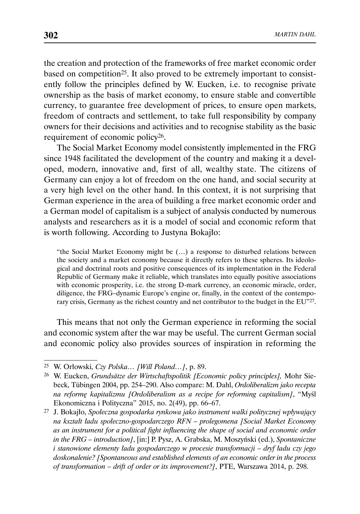the creation and protection of the frameworks of free market economic order based on competition<sup>25</sup>. It also proved to be extremely important to consistently follow the principles defined by W. Eucken, i.e. to recognise private ownership as the basis of market economy, to ensure stable and convertible currency, to guarantee free development of prices, to ensure open markets, freedom of contracts and settlement, to take full responsibility by company owners for their decisions and activities and to recognise stability as the basic requirement of economic policy26.

The Social Market Economy model consistently implemented in the FRG since 1948 facilitated the development of the country and making it a developed, modern, innovative and, first of all, wealthy state. The citizens of Germany can enjoy a lot of freedom on the one hand, and social security at a very high level on the other hand. In this context, it is not surprising that German experience in the area of building a free market economic order and a German model of capitalism is a subject of analysis conducted by numerous analysts and researchers as it is a model of social and economic reform that is worth following. According to Justyna Bokajło:

"the Social Market Economy might be (…) a response to disturbed relations between the society and a market economy because it directly refers to these spheres. Its ideological and doctrinal roots and positive consequences of its implementation in the Federal Republic of Germany make it reliable, which translates into equally positive associations with economic prosperity, i.e. the strong D-mark currency, an economic miracle, order, diligence, the FRG–dynamic Europe's engine or, finally, in the context of the contemporary crisis, Germany as the richest country and net contributor to the budget in the EU"27.

This means that not only the German experience in reforming the social and economic system after the war may be useful. The current German social and economic policy also provides sources of inspiration in reforming the

<sup>25</sup> W. Orłowski, *Czy Polska… [Will Poland…]*, p. 89.

<sup>26</sup> W. Eucken, *Grundsätze der Wirtschaftspolitik [Economic policy principles],* Mohr Siebeck, Tübingen 2004, pp. 254–290. Also compare: M. Dahl, *Ordoliberalizm jako recepta na reformę kapitalizmu [Ordoliberalism as a recipe for reforming capitalism]*, "Myśl Ekonomiczna i Polityczna" 2015, no. 2(49), pp. 66–67.

<sup>27</sup> J. Bokajło, *Społeczna gospodarka rynkowa jako instrument walki politycznej wpływający na kształt ładu społeczno-gospodarczego RFN – prolegomena [Social Market Economy as an instrument for a political fight influencing the shape of social and economic order in the FRG – introduction]*, [in:] P. Pysz, A. Grabska, M. Moszyński (ed.), *Spontaniczne i stanowione elementy ładu gospodarczego w procesie transformacji – dryf ładu czy jego doskonalenie? [Spontaneous and established elements of an economic order in the process of transformation – drift of order or its improvement?]*, PTE, Warszawa 2014, p. 298.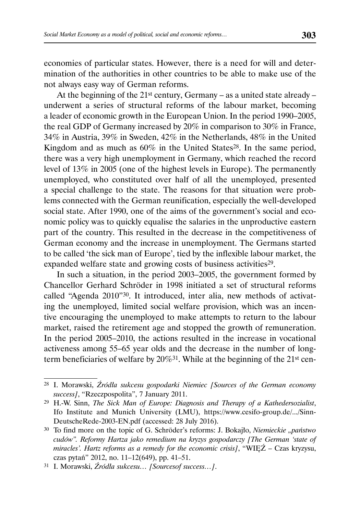economies of particular states. However, there is a need for will and determination of the authorities in other countries to be able to make use of the not always easy way of German reforms.

At the beginning of the  $21^{st}$  century, Germany – as a united state already – underwent a series of structural reforms of the labour market, becoming a leader of economic growth in the European Union. In the period 1990–2005, the real GDP of Germany increased by 20% in comparison to 30% in France, 34% in Austria, 39% in Sweden, 42% in the Netherlands, 48% in the United Kingdom and as much as  $60\%$  in the United States<sup>28</sup>. In the same period, there was a very high unemployment in Germany, which reached the record level of 13% in 2005 (one of the highest levels in Europe). The permanently unemployed, who constituted over half of all the unemployed, presented a special challenge to the state. The reasons for that situation were problems connected with the German reunification, especially the well-developed social state. After 1990, one of the aims of the government's social and economic policy was to quickly equalise the salaries in the unproductive eastern part of the country. This resulted in the decrease in the competitiveness of German economy and the increase in unemployment. The Germans started to be called 'the sick man of Europe', tied by the inflexible labour market, the expanded welfare state and growing costs of business activities<sup>29</sup>.

In such a situation, in the period 2003–2005, the government formed by Chancellor Gerhard Schröder in 1998 initiated a set of structural reforms called "Agenda 2010"30. It introduced, inter alia, new methods of activating the unemployed, limited social welfare provision, which was an incentive encouraging the unemployed to make attempts to return to the labour market, raised the retirement age and stopped the growth of remuneration. In the period 2005–2010, the actions resulted in the increase in vocational activeness among 55–65 year olds and the decrease in the number of longterm beneficiaries of welfare by 20%31. While at the beginning of the 21st cen-

<sup>28</sup> I. Morawski, *Źródła sukcesu gospodarki Niemiec [Sources of the German economy success]*, "Rzeczpospolita", 7 January 2011.

<sup>29</sup> H.-W. Sinn, *The Sick Man of Europe: Diagnosis and Therapy of a Kathedersozialist*, Ifo Institute and Munich University (LMU), https://www.cesifo-group.de/.../Sinn-DeutscheRede-2003-EN.pdf (accessed: 28 July 2016).

<sup>30</sup> To find more on the topic of G. Schröder's reforms: J. Bokajło, *Niemieckie "państwo cudów". Reformy Hartza jako remedium na kryzys gospodarczy [The German 'state of miracles'. Hartz reforms as a remedy for the economic crisis]*, "WIĘŹ – Czas kryzysu, czas pytań" 2012, no. 11–12(649), pp. 41–51.

<sup>31</sup> I. Morawski, *Źródła sukcesu… [Sourcesof success…]*.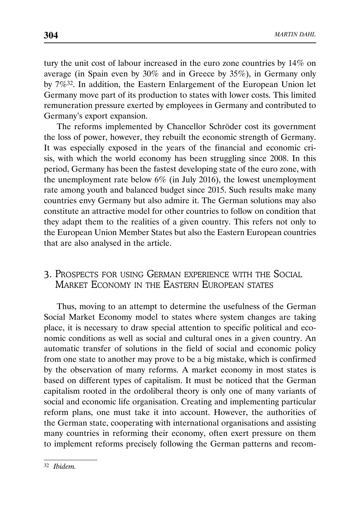tury the unit cost of labour increased in the euro zone countries by 14% on average (in Spain even by 30% and in Greece by 35%), in Germany only by 7%32. In addition, the Eastern Enlargement of the European Union let Germany move part of its production to states with lower costs. This limited remuneration pressure exerted by employees in Germany and contributed to Germany's export expansion.

The reforms implemented by Chancellor Schröder cost its government the loss of power, however, they rebuilt the economic strength of Germany. It was especially exposed in the years of the financial and economic crisis, with which the world economy has been struggling since 2008. In this period, Germany has been the fastest developing state of the euro zone, with the unemployment rate below 6% (in July 2016), the lowest unemployment rate among youth and balanced budget since 2015. Such results make many countries envy Germany but also admire it. The German solutions may also constitute an attractive model for other countries to follow on condition that they adapt them to the realities of a given country. This refers not only to the European Union Member States but also the Eastern European countries that are also analysed in the article.

# 3. PROSPECTS FOR USING GERMAN EXPERIENCE WITH THE SOCIAL MARKET ECONOMY IN THE EASTERN EUROPEAN STATES

Thus, moving to an attempt to determine the usefulness of the German Social Market Economy model to states where system changes are taking place, it is necessary to draw special attention to specific political and economic conditions as well as social and cultural ones in a given country. An automatic transfer of solutions in the field of social and economic policy from one state to another may prove to be a big mistake, which is confirmed by the observation of many reforms. A market economy in most states is based on different types of capitalism. It must be noticed that the German capitalism rooted in the ordoliberal theory is only one of many variants of social and economic life organisation. Creating and implementing particular reform plans, one must take it into account. However, the authorities of the German state, cooperating with international organisations and assisting many countries in reforming their economy, often exert pressure on them to implement reforms precisely following the German patterns and recom-

<sup>32</sup> *Ibidem.*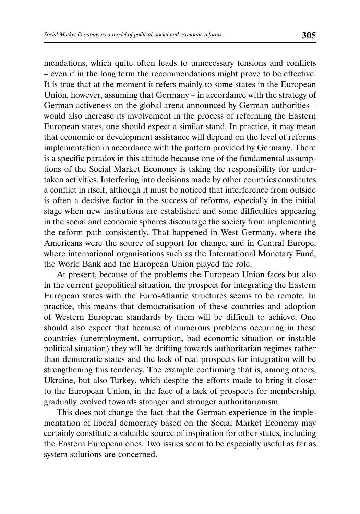mendations, which quite often leads to unnecessary tensions and conflicts – even if in the long term the recommendations might prove to be effective. It is true that at the moment it refers mainly to some states in the European Union, however, assuming that Germany – in accordance with the strategy of German activeness on the global arena announced by German authorities – would also increase its involvement in the process of reforming the Eastern European states, one should expect a similar stand. In practice, it may mean that economic or development assistance will depend on the level of reforms implementation in accordance with the pattern provided by Germany. There is a specific paradox in this attitude because one of the fundamental assumptions of the Social Market Economy is taking the responsibility for undertaken activities. Interfering into decisions made by other countries constitutes a conflict in itself, although it must be noticed that interference from outside is often a decisive factor in the success of reforms, especially in the initial stage when new institutions are established and some difficulties appearing in the social and economic spheres discourage the society from implementing the reform path consistently. That happened in West Germany, where the Americans were the source of support for change, and in Central Europe, where international organisations such as the International Monetary Fund, the World Bank and the European Union played the role.

At present, because of the problems the European Union faces but also in the current geopolitical situation, the prospect for integrating the Eastern European states with the Euro-Atlantic structures seems to be remote. In practice, this means that democratisation of these countries and adoption of Western European standards by them will be difficult to achieve. One should also expect that because of numerous problems occurring in these countries (unemployment, corruption, bad economic situation or instable political situation) they will be drifting towards authoritarian regimes rather than democratic states and the lack of real prospects for integration will be strengthening this tendency. The example confirming that is, among others, Ukraine, but also Turkey, which despite the efforts made to bring it closer to the European Union, in the face of a lack of prospects for membership, gradually evolved towards stronger and stronger authoritarianism.

This does not change the fact that the German experience in the implementation of liberal democracy based on the Social Market Economy may certainly constitute a valuable source of inspiration for other states, including the Eastern European ones. Two issues seem to be especially useful as far as system solutions are concerned.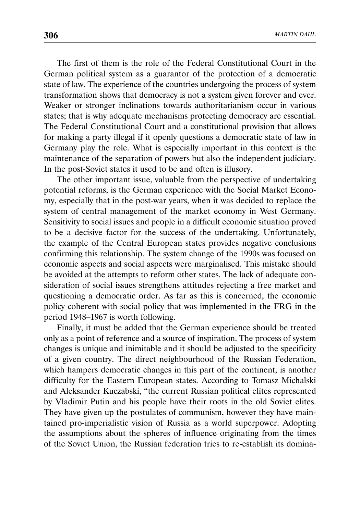The first of them is the role of the Federal Constitutional Court in the German political system as a guarantor of the protection of a democratic state of law. The experience of the countries undergoing the process of system transformation shows that democracy is not a system given forever and ever. Weaker or stronger inclinations towards authoritarianism occur in various states; that is why adequate mechanisms protecting democracy are essential. The Federal Constitutional Court and a constitutional provision that allows for making a party illegal if it openly questions a democratic state of law in Germany play the role. What is especially important in this context is the maintenance of the separation of powers but also the independent judiciary. In the post-Soviet states it used to be and often is illusory.

The other important issue, valuable from the perspective of undertaking potential reforms, is the German experience with the Social Market Economy, especially that in the post-war years, when it was decided to replace the system of central management of the market economy in West Germany. Sensitivity to social issues and people in a difficult economic situation proved to be a decisive factor for the success of the undertaking. Unfortunately, the example of the Central European states provides negative conclusions confirming this relationship. The system change of the 1990s was focused on economic aspects and social aspects were marginalised. This mistake should be avoided at the attempts to reform other states. The lack of adequate consideration of social issues strengthens attitudes rejecting a free market and questioning a democratic order. As far as this is concerned, the economic policy coherent with social policy that was implemented in the FRG in the period 1948–1967 is worth following.

Finally, it must be added that the German experience should be treated only as a point of reference and a source of inspiration. The process of system changes is unique and inimitable and it should be adjusted to the specificity of a given country. The direct neighbourhood of the Russian Federation, which hampers democratic changes in this part of the continent, is another difficulty for the Eastern European states. According to Tomasz Michalski and Aleksander Kuczabski, "the current Russian political elites represented by Vladimir Putin and his people have their roots in the old Soviet elites. They have given up the postulates of communism, however they have maintained pro-imperialistic vision of Russia as a world superpower. Adopting the assumptions about the spheres of influence originating from the times of the Soviet Union, the Russian federation tries to re-establish its domina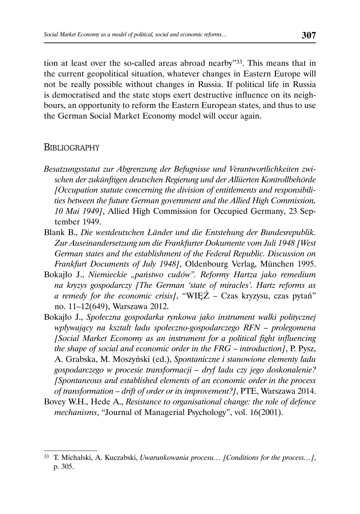tion at least over the so-called areas abroad nearby"33. This means that in the current geopolitical situation, whatever changes in Eastern Europe will not be really possible without changes in Russia. If political life in Russia is democratised and the state stops exert destructive influence on its neighbours, an opportunity to reform the Eastern European states, and thus to use the German Social Market Economy model will occur again.

### BIBLIOGRAPHY

- *Besatzungsstatut zur Abgrenzung der Befugnisse und Verantwortlichkeiten zwischen der zukünftigen deutschen Regierung und der Alliierten Kontrollbehörde [Occupation statute concerning the division of entitlements and responsibilities between the future German government and the Allied High Commission, 10 Mai 1949]*, Allied High Commission for Occupied Germany, 23 September 1949.
- Blank B., *Die westdeutschen Länder und die Entstehung der Bundesrepublik. Zur Auseinandersetzung um die Frankfurter Dokumente vom Juli 1948 [West German states and the establishment of the Federal Republic. Discussion on Frankfurt Documents of July 1948]*, Oldenbourg Verlag, München 1995.
- Bokajło J., *Niemieckie "państwo cudów". Reformy Hartza jako remedium na kryzys gospodarczy [The German 'state of miracles'. Hartz reforms as a remedy for the economic crisis]*, "WIĘŹ – Czas kryzysu, czas pytań" no. 11–12(649), Warszawa 2012.
- Bokajło J., *Społeczna gospodarka rynkowa jako instrument walki politycznej wpływający na kształt ładu społeczno-gospodarczego RFN – prolegomena [Social Market Economy as an instrument for a political fight influencing the shape of social and economic order in the FRG – introduction]*, P. Pysz, A. Grabska, M. Moszyński (ed.), *Spontaniczne i stanowione elementy ładu gospodarczego w procesie transformacji – dryf ładu czy jego doskonalenie? [Spontaneous and established elements of an economic order in the process of transformation – drift of order or its improvement?]*, PTE, Warszawa 2014.
- Bovey W.H., Hede A., *Resistance to organisational change: the role of defence mechanisms*, "Journal of Managerial Psychology", vol. 16(2001).

<sup>33</sup> T. Michalski, A. Kuczabski, *Uwarunkowania procesu… [Conditions for the process…]*, p. 305.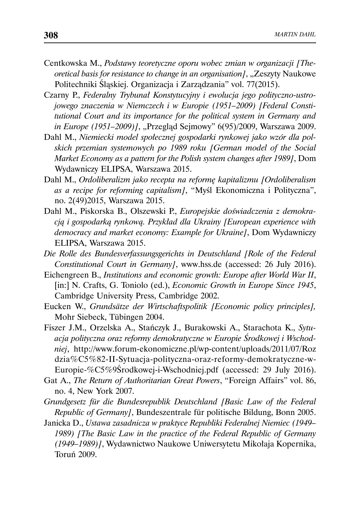- Centkowska M., *Podstawy teoretyczne oporu wobec zmian w organizacji [Theoretical basis for resistance to change in an organisation]*, "Zeszyty Naukowe Politechniki Śląskiej. Organizacja i Zarządzania" vol. 77(2015).
- Czarny P., *Federalny Trybunał Konstytucyjny i ewolucja jego polityczno-ustrojowego znaczenia w Niemczech i w Europie (1951–2009) [Federal Constitutional Court and its importance for the political system in Germany and in Europe (1951–2009)]*, "Przegląd Sejmowy" 6(95)/2009, Warszawa 2009.
- Dahl M., *Niemiecki model społecznej gospodarki rynkowej jako wzór dla polskich przemian systemowych po 1989 roku [German model of the Social Market Economy as a pattern for the Polish system changes after 1989]*, Dom Wydawniczy ELIPSA, Warszawa 2015.
- Dahl M., *Ordoliberalizm jako recepta na reformę kapitalizmu [Ordoliberalism as a recipe for reforming capitalism]*, "Myśl Ekonomiczna i Polityczna", no. 2(49)2015, Warszawa 2015.
- Dahl M., Piskorska B., Olszewski P., *Europejskie doświadczenia z demokracją i gospodarką rynkową. Przykład dla Ukrainy [European experience with democracy and market economy: Example for Ukraine]*, Dom Wydawniczy ELIPSA, Warszawa 2015.
- *Die Rolle des Bundesverfassungsgerichts in Deutschland [Role of the Federal Constitutional Court in Germany]*, www.hss.de (accessed: 26 July 2016).
- Eichengreen B., *Institutions and economic growth: Europe after World War II*, [in:] N. Crafts, G. Toniolo (ed.), *Economic Growth in Europe Since 1945*, Cambridge University Press, Cambridge 2002.
- Eucken W., *Grundsätze der Wirtschaftspolitik [Economic policy principles],* Mohr Siebeck, Tübingen 2004.
- Fiszer J.M., Orzelska A., Stańczyk J., Burakowski A., Starachota K., *Sytuacja polityczna oraz reformy demokratyczne w Europie Środkowej i Wschodniej*, http://www.forum-ekonomiczne.pl/wp-content/uploads/2011/07/Roz dzia%C5%82-II-Sytuacja-polityczna-oraz-reformy-demokratyczne-w-Europie-%C5%9Środkowej-i-Wschodniej.pdf (accessed: 29 July 2016).
- Gat A., *The Return of Authoritarian Great Powers*, "Foreign Affairs" vol. 86, no. 4, New York 2007.
- *Grundgesetz für die Bundesrepublik Deutschland [Basic Law of the Federal Republic of Germany]*, Bundeszentrale für politische Bildung, Bonn 2005.
- Janicka D., *Ustawa zasadnicza w praktyce Republiki Federalnej Niemiec (1949– 1989) [The Basic Law in the practice of the Federal Republic of Germany (1949–1989)]*, Wydawnictwo Naukowe Uniwersytetu Mikołaja Kopernika, Toruń 2009.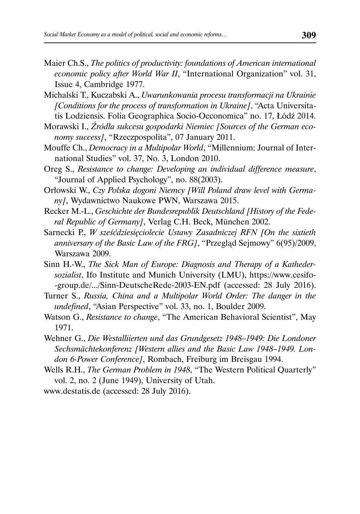- Maier Ch.S., *The politics of productivity: foundations of American international economic policy after World War II*, "International Organization" vol. 31, Issue 4, Cambridge 1977.
- Michalski T., Kuczabski A., *Uwarunkowania procesu transformacji na Ukrainie [Conditions for the process of transformation in Ukraine]*, "Acta Universitatis Lodziensis. Folia Geographica Socio-Oeconomica" no. 17, Łódź 2014.
- Morawski I., *Źródła sukcesu gospodarki Niemiec [Sources of the German economy success]*, "Rzeczpospolita", 07 January 2011.
- Mouffe Ch., *Democracy in a Multipolar World*, "Millennium: Journal of International Studies" vol. 37, No. 3, London 2010.
- Oreg S., *Resistance to change: Developing an individual difference measure*, "Journal of Applied Psychology", no. 88(2003).
- Orłowski W., *Czy Polska dogoni Niemcy [Will Poland draw level with Germany]*, Wydawnictwo Naukowe PWN, Warszawa 2015.
- Recker M.-L., *Geschichte der Bundesrepublik Deutschland [History of the Federal Republic of Germany]*, Verlag C.H. Beck, München 2002.
- Sarnecki P., *W sześćdziesięciolecie Ustawy Zasadniczej RFN [On the sixtieth anniversary of the Basic Law of the FRG]*, "Przegląd Sejmowy" 6(95)/2009, Warszawa 2009.
- Sinn H.-W., *The Sick Man of Europe: Diagnosis and Therapy of a Kathedersozialist*, Ifo Institute and Munich University (LMU), https://www.cesifo- -group.de/.../Sinn-DeutscheRede-2003-EN.pdf (accessed: 28 July 2016).
- Turner S., *Russia, China and a Multipolar World Order: The danger in the undefined*, "Asian Perspective" vol. 33, no. 1, Boulder 2009.
- Watson G., *Resistance to change*, "The American Behavioral Scientist", May 1971.
- Wehner G., *Die Westalliierten und das Grundgesetz 1948–1949: Die Londoner Sechsmächtekonferenz [Western allies and the Basic Law 1948–1949. London 6-Power Conference]*, Rombach, Freiburg im Breisgau 1994.
- Wells R.H., *The German Problem in 1948*, "The Western Political Quarterly" vol. 2, no. 2 (June 1949), University of Utah.

www.destatis.de (accessed: 28 July 2016).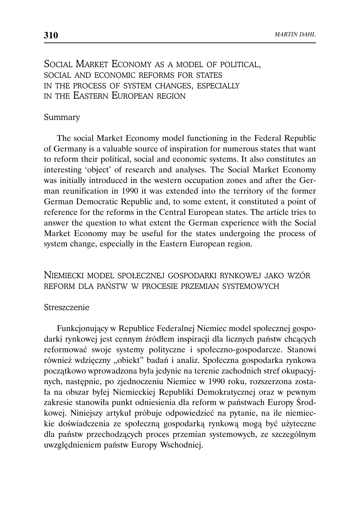# SOCIAL MARKET ECONOMY AS A MODEL OF POLITICAL, SOCIAL AND ECONOMIC REFORMS FOR STATES IN THE PROCESS OF SYSTEM CHANGES, ESPECIALLY IN THE EASTERN EUROPEAN REGION

#### Summary

The social Market Economy model functioning in the Federal Republic of Germany is a valuable source of inspiration for numerous states that want to reform their political, social and economic systems. It also constitutes an interesting 'object' of research and analyses. The Social Market Economy was initially introduced in the western occupation zones and after the German reunification in 1990 it was extended into the territory of the former German Democratic Republic and, to some extent, it constituted a point of reference for the reforms in the Central European states. The article tries to answer the question to what extent the German experience with the Social Market Economy may be useful for the states undergoing the process of system change, especially in the Eastern European region.

## NIEMIECKI MODEL SPOŁECZNEJ GOSPODARKI RYNKOWEJ JAKO WZÓR REFORM DLA PAŃSTW W PROCESIE PRZEMIAN SYSTEMOWYCH

#### Streszczenie

Funkcjonujący w Republice Federalnej Niemiec model społecznej gospodarki rynkowej jest cennym źródłem inspiracji dla licznych państw chcących reformować swoje systemy polityczne i społeczno-gospodarcze. Stanowi również wdzięczny "obiekt" badań i analiz. Społeczna gospodarka rynkowa początkowo wprowadzona była jedynie na terenie zachodnich stref okupacyjnych, następnie, po zjednoczeniu Niemiec w 1990 roku, rozszerzona została na obszar byłej Niemieckiej Republiki Demokratycznej oraz w pewnym zakresie stanowiła punkt odniesienia dla reform w państwach Europy Środkowej. Niniejszy artykuł próbuje odpowiedzieć na pytanie, na ile niemieckie doświadczenia ze społeczną gospodarką rynkową mogą być użyteczne dla państw przechodzących proces przemian systemowych, ze szczególnym uwzględnieniem państw Europy Wschodniej.